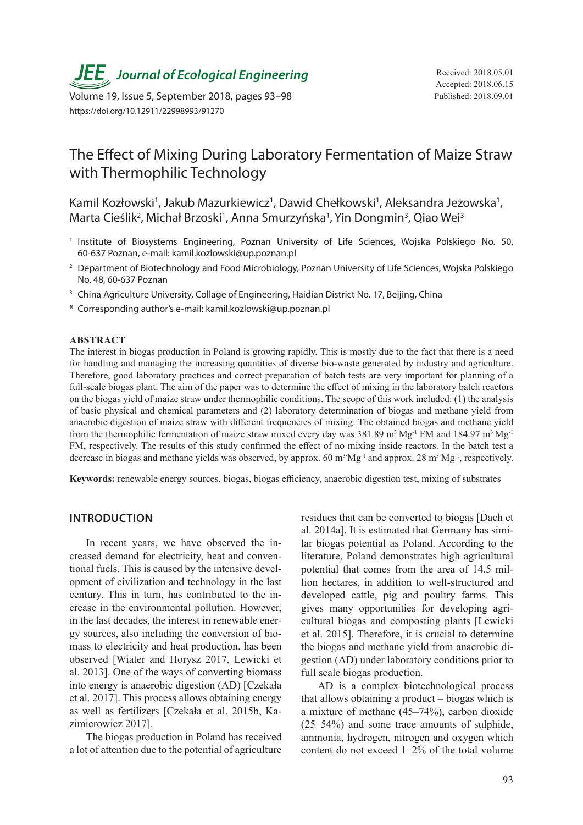**JEE**<sub>,</sub> Journal of Ecological Engineering Received: 2018.05.01

Volume 19, Issue 5, September 2018, pages 93-98 Published: 2018.09.01 https://doi.org/10.12911/22998993/91270

# The Effect of Mixing During Laboratory Fermentation of Maize Straw with Thermophilic Technology

Kamil Kozłowski<sup>1</sup>, Jakub Mazurkiewicz<sup>1</sup>, Dawid Chełkowski<sup>1</sup>, Aleksandra Jeżowska<sup>1</sup>, Marta Cieślik<sup>2</sup>, Michał Brzoski<sup>1</sup>, Anna Smurzyńska<sup>1</sup>, Yin Dongmin<sup>3</sup>, Qiao Wei<sup>3</sup>

- <sup>1</sup> Institute of Biosystems Engineering, Poznan University of Life Sciences, Wojska Polskiego No. 50, 60-637 Poznan, e-mail: kamil.kozlowski@up.poznan.pl
- <sup>2</sup> Department of Biotechnology and Food Microbiology, Poznan University of Life Sciences, Wojska Polskiego No. 48, 60-637 Poznan
- <sup>3</sup> China Agriculture University, Collage of Engineering, Haidian District No. 17, Beijing, China
- \* Corresponding author's e-mail: kamil.kozlowski@up.poznan.pl

## **ABSTRACT**

The interest in biogas production in Poland is growing rapidly. This is mostly due to the fact that there is a need for handling and managing the increasing quantities of diverse bio-waste generated by industry and agriculture. Therefore, good laboratory practices and correct preparation of batch tests are very important for planning of a full-scale biogas plant. The aim of the paper was to determine the effect of mixing in the laboratory batch reactors on the biogas yield of maize straw under thermophilic conditions. The scope of this work included: (1) the analysis of basic physical and chemical parameters and (2) laboratory determination of biogas and methane yield from anaerobic digestion of maize straw with different frequencies of mixing. The obtained biogas and methane yield from the thermophilic fermentation of maize straw mixed every day was  $381.89 \text{ m}^3\text{Mg}^{-1}$  FM and  $184.97 \text{ m}^3\text{Mg}^{-1}$ FM, respectively. The results of this study confirmed the effect of no mixing inside reactors. In the batch test a decrease in biogas and methane yields was observed, by approx. 60 m<sup>3</sup> $Mg^{-1}$  and approx. 28 m<sup>3</sup> $Mg^{-1}$ , respectively.

**Keywords:** renewable energy sources, biogas, biogas efficiency, anaerobic digestion test, mixing of substrates

#### **INTRODUCTION**

In recent years, we have observed the increased demand for electricity, heat and conventional fuels. This is caused by the intensive development of civilization and technology in the last century. This in turn, has contributed to the increase in the environmental pollution. However, in the last decades, the interest in renewable energy sources, also including the conversion of biomass to electricity and heat production, has been observed [Wiater and Horysz 2017, Lewicki et al. 2013]. One of the ways of converting biomass into energy is anaerobic digestion (AD) [Czekała et al. 2017]. This process allows obtaining energy as well as fertilizers [Czekała et al. 2015b, Kazimierowicz 2017].

The biogas production in Poland has received a lot of attention due to the potential of agriculture

residues that can be converted to biogas [Dach et al. 2014a]. It is estimated that Germany has similar biogas potential as Poland. According to the literature, Poland demonstrates high agricultural potential that comes from the area of 14.5 million hectares, in addition to well-structured and developed cattle, pig and poultry farms. This gives many opportunities for developing agricultural biogas and composting plants [Lewicki et al. 2015]. Therefore, it is crucial to determine the biogas and methane yield from anaerobic digestion (AD) under laboratory conditions prior to full scale biogas production.

AD is a complex biotechnological process that allows obtaining a product – biogas which is a mixture of methane (45–74%), carbon dioxide (25–54%) and some trace amounts of sulphide, ammonia, hydrogen, nitrogen and oxygen which content do not exceed 1–2% of the total volume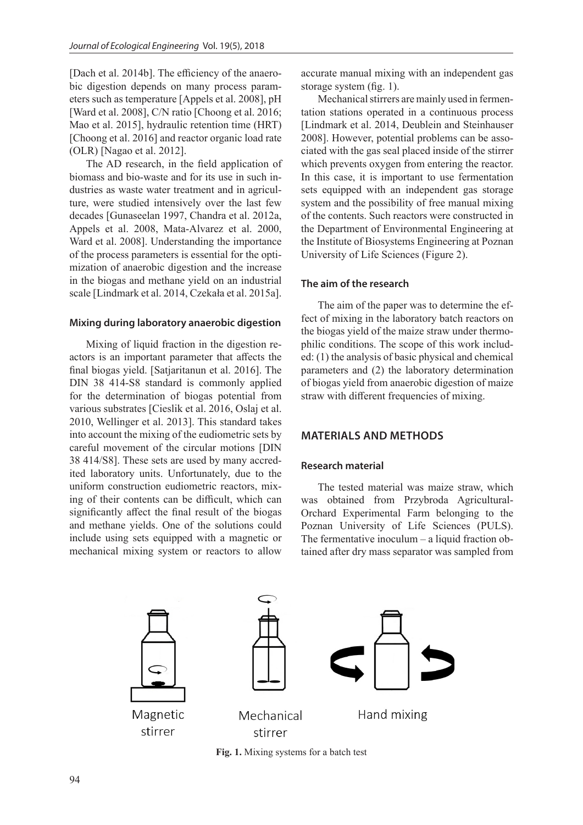[Dach et al. 2014b]. The efficiency of the anaerobic digestion depends on many process parameters such as temperature [Appels et al. 2008], pH [Ward et al. 2008], C/N ratio [Choong et al. 2016; Mao et al. 2015], hydraulic retention time (HRT) [Choong et al. 2016] and reactor organic load rate (OLR) [Nagao et al. 2012].

The AD research, in the field application of biomass and bio-waste and for its use in such industries as waste water treatment and in agriculture, were studied intensively over the last few decades [Gunaseelan 1997, Chandra et al. 2012a, Appels et al. 2008, Mata-Alvarez et al. 2000, Ward et al. 2008]. Understanding the importance of the process parameters is essential for the optimization of anaerobic digestion and the increase in the biogas and methane yield on an industrial scale [Lindmark et al. 2014, Czekała et al. 2015a].

#### **Mixing during laboratory anaerobic digestion**

Mixing of liquid fraction in the digestion reactors is an important parameter that affects the final biogas yield. [Satjaritanun et al. 2016]. The DIN 38 414-S8 standard is commonly applied for the determination of biogas potential from various substrates [Cieslik et al. 2016, Oslaj et al. 2010, Wellinger et al. 2013]. This standard takes into account the mixing of the eudiometric sets by careful movement of the circular motions [DIN 38 414/S8]. These sets are used by many accredited laboratory units. Unfortunately, due to the uniform construction eudiometric reactors, mixing of their contents can be difficult, which can significantly affect the final result of the biogas and methane yields. One of the solutions could include using sets equipped with a magnetic or mechanical mixing system or reactors to allow

accurate manual mixing with an independent gas storage system (fig. 1).

Mechanical stirrers are mainly used in fermentation stations operated in a continuous process [Lindmark et al. 2014, Deublein and Steinhauser 2008]. However, potential problems can be associated with the gas seal placed inside of the stirrer which prevents oxygen from entering the reactor. In this case, it is important to use fermentation sets equipped with an independent gas storage system and the possibility of free manual mixing of the contents. Such reactors were constructed in the Department of Environmental Engineering at the Institute of Biosystems Engineering at Poznan University of Life Sciences (Figure 2).

## **The aim of the research**

The aim of the paper was to determine the effect of mixing in the laboratory batch reactors on the biogas yield of the maize straw under thermophilic conditions. The scope of this work included: (1) the analysis of basic physical and chemical parameters and (2) the laboratory determination of biogas yield from anaerobic digestion of maize straw with different frequencies of mixing.

## **MATERIALS AND METHODS**

### **Research material**

The tested material was maize straw, which was obtained from Przybroda Agricultural-Orchard Experimental Farm belonging to the Poznan University of Life Sciences (PULS). The fermentative inoculum – a liquid fraction obtained after dry mass separator was sampled from



**Fig. 1.** Mixing systems for a batch test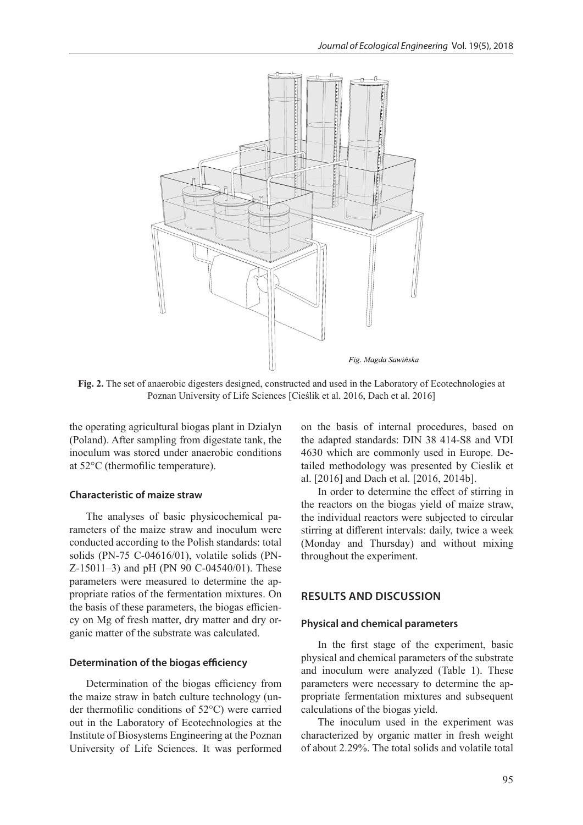

**Fig. 2.** The set of anaerobic digesters designed, constructed and used in the Laboratory of Ecotechnologies at Poznan University of Life Sciences [Cieślik et al. 2016, Dach et al. 2016]

the operating agricultural biogas plant in Dzialyn (Poland). After sampling from digestate tank, the inoculum was stored under anaerobic conditions at 52°C (thermofilic temperature).

#### **Characteristic of maize straw**

The analyses of basic physicochemical parameters of the maize straw and inoculum were conducted according to the Polish standards: total solids (PN-75 C-04616/01), volatile solids (PN-Z-15011–3) and pH (PN 90 C-04540/01). These parameters were measured to determine the appropriate ratios of the fermentation mixtures. On the basis of these parameters, the biogas efficiency on Mg of fresh matter, dry matter and dry organic matter of the substrate was calculated.

#### **Determination of the biogas efficiency**

Determination of the biogas efficiency from the maize straw in batch culture technology (under thermofilic conditions of 52°C) were carried out in the Laboratory of Ecotechnologies at the Institute of Biosystems Engineering at the Poznan University of Life Sciences. It was performed on the basis of internal procedures, based on the adapted standards: DIN 38 414-S8 and VDI 4630 which are commonly used in Europe. Detailed methodology was presented by Cieslik et al. [2016] and Dach et al. [2016, 2014b].

In order to determine the effect of stirring in the reactors on the biogas yield of maize straw, the individual reactors were subjected to circular stirring at different intervals: daily, twice a week (Monday and Thursday) and without mixing throughout the experiment.

# **RESULTS AND DISCUSSION**

#### **Physical and chemical parameters**

In the first stage of the experiment, basic physical and chemical parameters of the substrate and inoculum were analyzed (Table 1). These parameters were necessary to determine the appropriate fermentation mixtures and subsequent calculations of the biogas yield.

The inoculum used in the experiment was characterized by organic matter in fresh weight of about 2.29%. The total solids and volatile total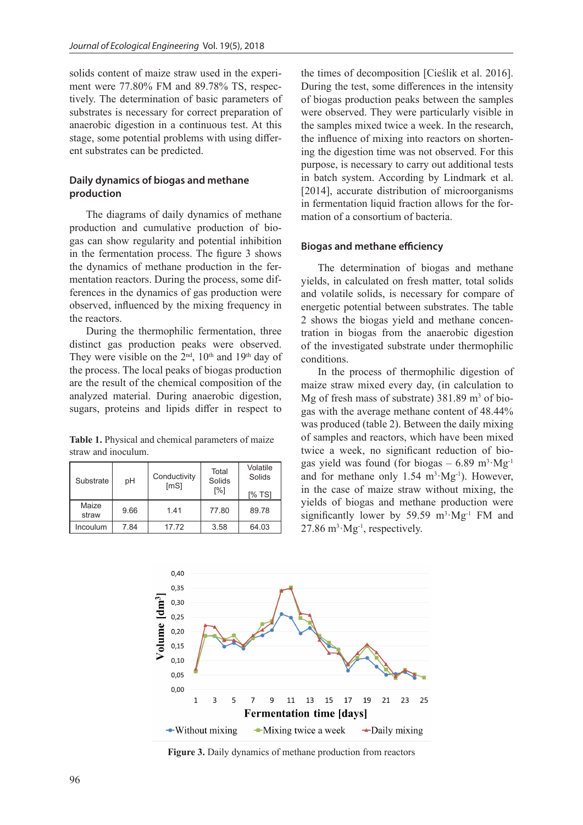solids content of maize straw used in the experiment were 77.80% FM and 89.78% TS, respectively. The determination of basic parameters of substrates is necessary for correct preparation of anaerobic digestion in a continuous test. At this stage, some potential problems with using different substrates can be predicted.

# **Daily dynamics of biogas and methane production**

The diagrams of daily dynamics of methane production and cumulative production of biogas can show regularity and potential inhibition in the fermentation process. The figure 3 shows the dynamics of methane production in the fermentation reactors. During the process, some differences in the dynamics of gas production were observed, influenced by the mixing frequency in the reactors.

During the thermophilic fermentation, three distinct gas production peaks were observed. They were visible on the 2<sup>nd</sup>, 10<sup>th</sup> and 19<sup>th</sup> day of the process. The local peaks of biogas production are the result of the chemical composition of the analyzed material. During anaerobic digestion, sugars, proteins and lipids differ in respect to

**Table 1.** Physical and chemical parameters of maize straw and inoculum.

| Substrate      | рH   | Conductivity<br>[ms] | Total<br>Solids<br>[%] | Volatile<br>Solids<br>[%TS] |
|----------------|------|----------------------|------------------------|-----------------------------|
| Maize<br>straw | 9.66 | 141                  | 77.80                  | 89.78                       |
| Incoulum       | 7.84 | 1772                 | 3.58                   | 64.03                       |

the times of decomposition [Cieślik et al. 2016]. During the test, some differences in the intensity of biogas production peaks between the samples were observed. They were particularly visible in the samples mixed twice a week. In the research, the influence of mixing into reactors on shortening the digestion time was not observed. For this purpose, is necessary to carry out additional tests in batch system. According by Lindmark et al. [2014], accurate distribution of microorganisms in fermentation liquid fraction allows for the formation of a consortium of bacteria.

#### **Biogas and methane efficiency**

The determination of biogas and methane yields, in calculated on fresh matter, total solids and volatile solids, is necessary for compare of energetic potential between substrates. The table 2 shows the biogas yield and methane concentration in biogas from the anaerobic digestion of the investigated substrate under thermophilic conditions.

In the process of thermophilic digestion of maize straw mixed every day, (in calculation to Mg of fresh mass of substrate) 381.89 m<sup>3</sup> of biogas with the average methane content of 48.44% was produced (table 2). Between the daily mixing of samples and reactors, which have been mixed twice a week, no significant reduction of biogas yield was found (for biogas  $-6.89 \text{ m}^3 \cdot \text{Mg}^{-1}$ and for methane only  $1.54 \text{ m}^3 \cdot \text{Mg}^{-1}$ ). However, in the case of maize straw without mixing, the yields of biogas and methane production were significantly lower by 59.59  $m^3 \cdot Mg^{-1}$  FM and  $27.86 \text{ m}^3 \cdot \text{Mg}^{-1}$ , respectively.



**Figure 3.** Daily dynamics of methane production from reactors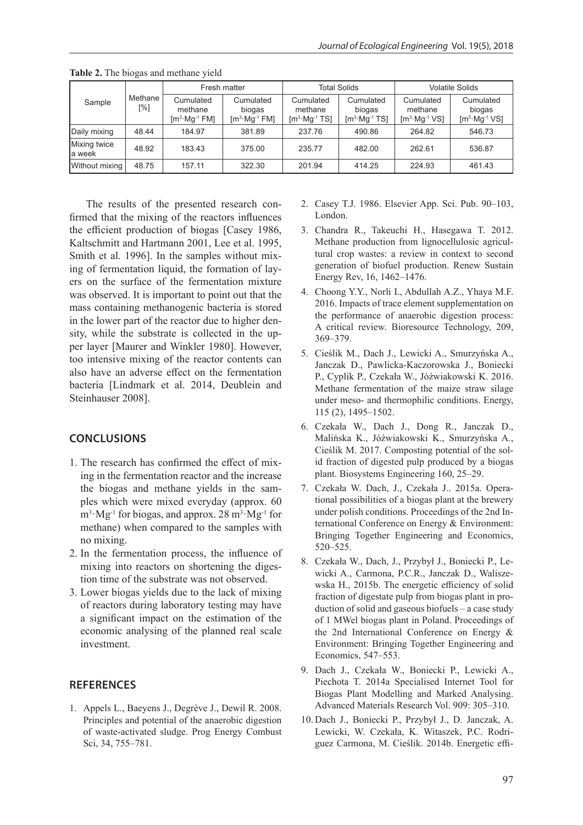| Sample                  | Methane<br>[%] | Fresh matter                           |                                       | <b>Total Solids</b>                    |                                       | <b>Volatile Solids</b>                 |                                      |
|-------------------------|----------------|----------------------------------------|---------------------------------------|----------------------------------------|---------------------------------------|----------------------------------------|--------------------------------------|
|                         |                | Cumulated<br>methane<br>$[m3·Mg-1 FM]$ | Cumulated<br>biogas<br>$[m3·Mg-1 FM]$ | Cumulated<br>methane<br>$[m3·Mg-1 TS]$ | Cumulated<br>biogas<br>$[m3·Mg-1 TS]$ | Cumulated<br>methane<br>$[m3·Mg-1 VS]$ | Cumulated<br>biogas<br>$[m3·Mg-1VS]$ |
| Daily mixing            | 48.44          | 184.97                                 | 381.89                                | 237.76                                 | 490.86                                | 264.82                                 | 546.73                               |
| Mixing twice<br>la week | 48.92          | 183.43                                 | 375.00                                | 235.77                                 | 482.00                                | 262.61                                 | 536.87                               |
| Without mixing          | 48.75          | 157.11                                 | 322.30                                | 201.94                                 | 414.25                                | 224.93                                 | 461.43                               |

**Table 2.** The biogas and methane yield

The results of the presented research confirmed that the mixing of the reactors influences the efficient production of biogas [Casey 1986, Kaltschmitt and Hartmann 2001, Lee et al. 1995, Smith et al. 1996]. In the samples without mixing of fermentation liquid, the formation of layers on the surface of the fermentation mixture was observed. It is important to point out that the mass containing methanogenic bacteria is stored in the lower part of the reactor due to higher density, while the substrate is collected in the upper layer [Maurer and Winkler 1980]. However, too intensive mixing of the reactor contents can also have an adverse effect on the fermentation bacteria [Lindmark et al. 2014, Deublein and Steinhauser 2008].

# **CONCLUSIONS**

- 1. The research has confirmed the effect of mixing in the fermentation reactor and the increase the biogas and methane yields in the samples which were mixed everyday (approx. 60 m3 ·Mg-1 for biogas, and approx. 28 m3 ·Mg-1 for methane) when compared to the samples with no mixing.
- 2. In the fermentation process, the influence of mixing into reactors on shortening the digestion time of the substrate was not observed.
- 3. Lower biogas yields due to the lack of mixing of reactors during laboratory testing may have a significant impact on the estimation of the economic analysing of the planned real scale investment.

# **REFERENCES**

1. Appels L., Baeyens J., Degrève J., Dewil R. 2008. Principles and potential of the anaerobic digestion of waste-activated sludge. Prog Energy Combust Sci, 34, 755–781.

- 2. Casey T.J. 1986. Elsevier App. Sci. Pub. 90–103, London.
- 3. Chandra R., Takeuchi H., Hasegawa T. 2012. Methane production from lignocellulosic agricultural crop wastes: a review in context to second generation of biofuel production. Renew Sustain Energy Rev, 16, 1462–1476.
- 4. Choong Y.Y., Norli I., Abdullah A.Z., Yhaya M.F. 2016. Impacts of trace element supplementation on the performance of anaerobic digestion process: A critical review. Bioresource Technology, 209, 369–379.
- 5. Cieślik M., Dach J., Lewicki A., Smurzyńska A., Janczak D., Pawlicka-Kaczorowska J., Boniecki P., Cyplik P., Czekała W., Jóźwiakowski K. 2016. Methane fermentation of the maize straw silage under meso- and thermophilic conditions. Energy, 115 (2), 1495–1502.
- 6. Czekała W., Dach J., Dong R., Janczak D., Malińska K., Jóźwiakowski K., Smurzyńska A., Cieślik M. 2017. Composting potential of the solid fraction of digested pulp produced by a biogas plant. Biosystems Engineering 160, 25–29.
- 7. Czekała W. Dach, J., Czekała J.. 2015a. Operational possibilities of a biogas plant at the brewery under polish conditions. Proceedings of the 2nd International Conference on Energy & Environment: Bringing Together Engineering and Economics, 520–525.
- 8. Czekała W., Dach, J., Przybył J., Boniecki P., Lewicki A., Carmona, P.C.R., Janczak D., Waliszewska H., 2015b. The energetic efficiency of solid fraction of digestate pulp from biogas plant in production of solid and gaseous biofuels – a case study of 1 MWel biogas plant in Poland. Proceedings of the 2nd International Conference on Energy & Environment: Bringing Together Engineering and Economics, 547–553.
- 9. Dach J., Czekała W., Boniecki P., Lewicki A., Piechota T. 2014a Specialised Internet Tool for Biogas Plant Modelling and Marked Analysing. Advanced Materials Research Vol. 909: 305–310.
- 10. Dach J., Boniecki P., Przybył J., D. Janczak, A. Lewicki, W. Czekała, K. Witaszek, P.C. Rodriguez Carmona, M. Cieślik. 2014b. Energetic effi-